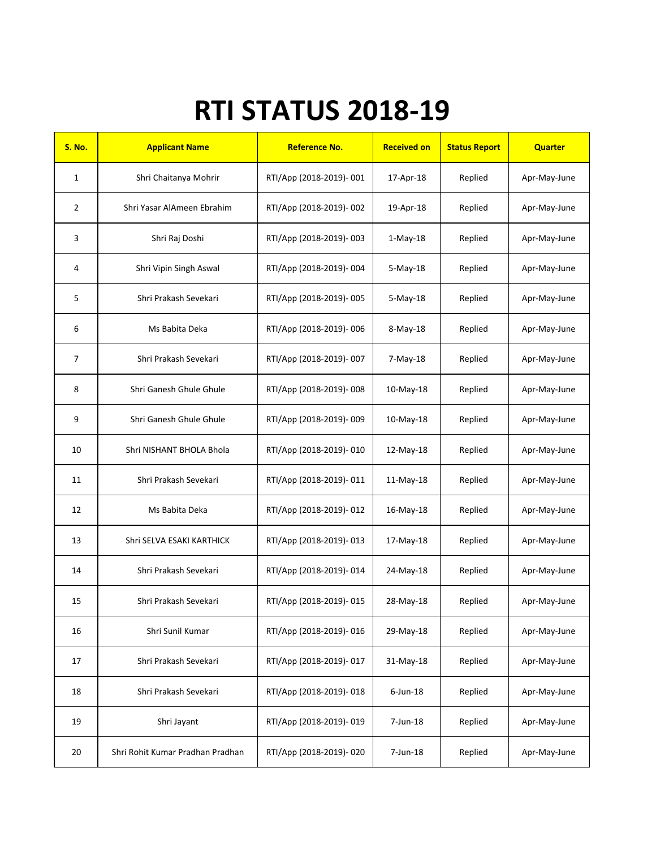## RTI STATUS 2018-19

| <b>S. No.</b>  | <b>Applicant Name</b>            | <b>Reference No.</b>    | <b>Received on</b> | <b>Status Report</b> | <b>Quarter</b> |
|----------------|----------------------------------|-------------------------|--------------------|----------------------|----------------|
| $\mathbf{1}$   | Shri Chaitanya Mohrir            | RTI/App (2018-2019)-001 | 17-Apr-18          | Replied              | Apr-May-June   |
| $\overline{2}$ | Shri Yasar AlAmeen Ebrahim       | RTI/App (2018-2019)-002 | 19-Apr-18          | Replied              | Apr-May-June   |
| 3              | Shri Raj Doshi                   | RTI/App (2018-2019)-003 | $1-May-18$         | Replied              | Apr-May-June   |
| 4              | Shri Vipin Singh Aswal           | RTI/App (2018-2019)-004 | 5-May-18           | Replied              | Apr-May-June   |
| 5              | Shri Prakash Sevekari            | RTI/App (2018-2019)-005 | 5-May-18           | Replied              | Apr-May-June   |
| 6              | Ms Babita Deka                   | RTI/App (2018-2019)-006 | 8-May-18           | Replied              | Apr-May-June   |
| $\overline{7}$ | Shri Prakash Sevekari            | RTI/App (2018-2019)-007 | 7-May-18           | Replied              | Apr-May-June   |
| 8              | Shri Ganesh Ghule Ghule          | RTI/App (2018-2019)-008 | $10$ -May-18       | Replied              | Apr-May-June   |
| 9              | Shri Ganesh Ghule Ghule          | RTI/App (2018-2019)-009 | $10$ -May-18       | Replied              | Apr-May-June   |
| 10             | Shri NISHANT BHOLA Bhola         | RTI/App (2018-2019)-010 | 12-May-18          | Replied              | Apr-May-June   |
| 11             | Shri Prakash Sevekari            | RTI/App (2018-2019)-011 | 11-May-18          | Replied              | Apr-May-June   |
| 12             | Ms Babita Deka                   | RTI/App (2018-2019)-012 | 16-May-18          | Replied              | Apr-May-June   |
| 13             | Shri SELVA ESAKI KARTHICK        | RTI/App (2018-2019)-013 | 17-May-18          | Replied              | Apr-May-June   |
| 14             | Shri Prakash Sevekari            | RTI/App (2018-2019)-014 | 24-May-18          | Replied              | Apr-May-June   |
| 15             | Shri Prakash Sevekari            | RTI/App (2018-2019)-015 | 28-May-18          | Replied              | Apr-May-June   |
| 16             | Shri Sunil Kumar                 | RTI/App (2018-2019)-016 | 29-May-18          | Replied              | Apr-May-June   |
| 17             | Shri Prakash Sevekari            | RTI/App (2018-2019)-017 | 31-May-18          | Replied              | Apr-May-June   |
| 18             | Shri Prakash Sevekari            | RTI/App (2018-2019)-018 | $6$ -Jun-18        | Replied              | Apr-May-June   |
| 19             | Shri Jayant                      | RTI/App (2018-2019)-019 | 7-Jun-18           | Replied              | Apr-May-June   |
| 20             | Shri Rohit Kumar Pradhan Pradhan | RTI/App (2018-2019)-020 | 7-Jun-18           | Replied              | Apr-May-June   |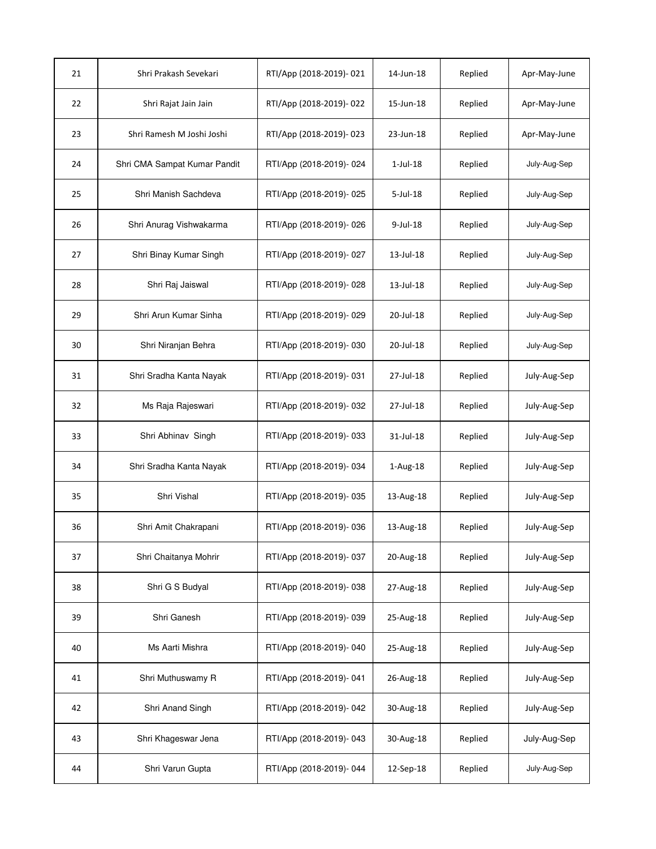| 21 | Shri Prakash Sevekari        | RTI/App (2018-2019)-021 | 14-Jun-18      | Replied | Apr-May-June |
|----|------------------------------|-------------------------|----------------|---------|--------------|
| 22 | Shri Rajat Jain Jain         | RTI/App (2018-2019)-022 | 15-Jun-18      | Replied | Apr-May-June |
| 23 | Shri Ramesh M Joshi Joshi    | RTI/App (2018-2019)-023 | 23-Jun-18      | Replied | Apr-May-June |
| 24 | Shri CMA Sampat Kumar Pandit | RTI/App (2018-2019)-024 | $1$ -Jul- $18$ | Replied | July-Aug-Sep |
| 25 | Shri Manish Sachdeva         | RTI/App (2018-2019)-025 | $5$ -Jul-18    | Replied | July-Aug-Sep |
| 26 | Shri Anurag Vishwakarma      | RTI/App (2018-2019)-026 | 9-Jul-18       | Replied | July-Aug-Sep |
| 27 | Shri Binay Kumar Singh       | RTI/App (2018-2019)-027 | 13-Jul-18      | Replied | July-Aug-Sep |
| 28 | Shri Raj Jaiswal             | RTI/App (2018-2019)-028 | 13-Jul-18      | Replied | July-Aug-Sep |
| 29 | Shri Arun Kumar Sinha        | RTI/App (2018-2019)-029 | 20-Jul-18      | Replied | July-Aug-Sep |
| 30 | Shri Niranjan Behra          | RTI/App (2018-2019)-030 | 20-Jul-18      | Replied | July-Aug-Sep |
| 31 | Shri Sradha Kanta Nayak      | RTI/App (2018-2019)-031 | 27-Jul-18      | Replied | July-Aug-Sep |
| 32 | Ms Raja Rajeswari            | RTI/App (2018-2019)-032 | 27-Jul-18      | Replied | July-Aug-Sep |
| 33 | Shri Abhinav Singh           | RTI/App (2018-2019)-033 | 31-Jul-18      | Replied | July-Aug-Sep |
| 34 | Shri Sradha Kanta Nayak      | RTI/App (2018-2019)-034 | $1-Aug-18$     | Replied | July-Aug-Sep |
| 35 | Shri Vishal                  | RTI/App (2018-2019)-035 | 13-Aug-18      | Replied | July-Aug-Sep |
| 36 | Shri Amit Chakrapani         | RTI/App (2018-2019)-036 | 13-Aug-18      | Replied | July-Aug-Sep |
| 37 | Shri Chaitanya Mohrir        | RTI/App (2018-2019)-037 | 20-Aug-18      | Replied | July-Aug-Sep |
| 38 | Shri G S Budyal              | RTI/App (2018-2019)-038 | 27-Aug-18      | Replied | July-Aug-Sep |
| 39 | Shri Ganesh                  | RTI/App (2018-2019)-039 | 25-Aug-18      | Replied | July-Aug-Sep |
| 40 | Ms Aarti Mishra              | RTI/App (2018-2019)-040 | 25-Aug-18      | Replied | July-Aug-Sep |
| 41 | Shri Muthuswamy R            | RTI/App (2018-2019)-041 | 26-Aug-18      | Replied | July-Aug-Sep |
| 42 | Shri Anand Singh             | RTI/App (2018-2019)-042 | 30-Aug-18      | Replied | July-Aug-Sep |
| 43 | Shri Khageswar Jena          | RTI/App (2018-2019)-043 | 30-Aug-18      | Replied | July-Aug-Sep |
| 44 | Shri Varun Gupta             | RTI/App (2018-2019)-044 | 12-Sep-18      | Replied | July-Aug-Sep |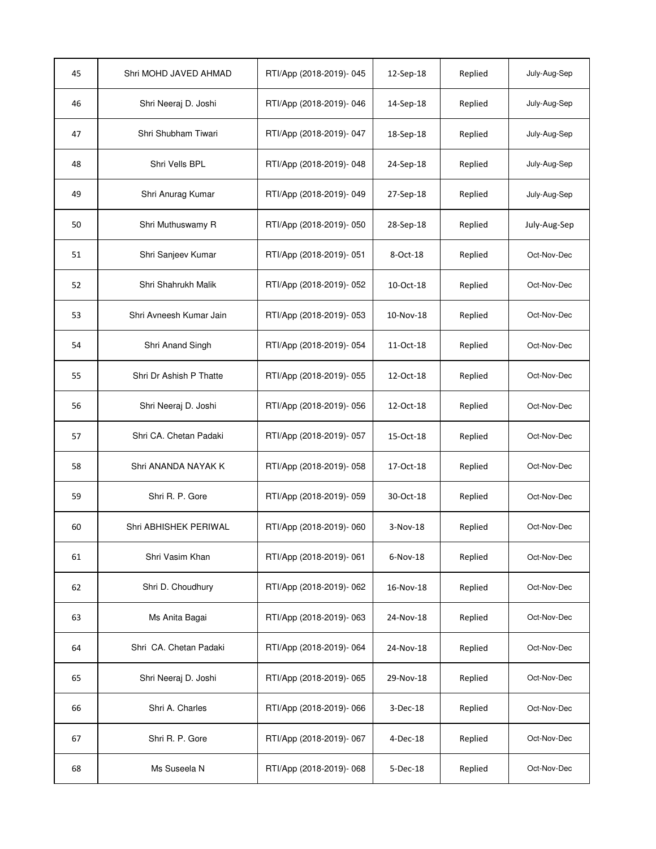| 45 | Shri MOHD JAVED AHMAD   | RTI/App (2018-2019)-045 | 12-Sep-18  | Replied | July-Aug-Sep |
|----|-------------------------|-------------------------|------------|---------|--------------|
| 46 | Shri Neeraj D. Joshi    | RTI/App (2018-2019)-046 | 14-Sep-18  | Replied | July-Aug-Sep |
| 47 | Shri Shubham Tiwari     | RTI/App (2018-2019)-047 | 18-Sep-18  | Replied | July-Aug-Sep |
| 48 | Shri Vells BPL          | RTI/App (2018-2019)-048 | 24-Sep-18  | Replied | July-Aug-Sep |
| 49 | Shri Anurag Kumar       | RTI/App (2018-2019)-049 | 27-Sep-18  | Replied | July-Aug-Sep |
| 50 | Shri Muthuswamy R       | RTI/App (2018-2019)-050 | 28-Sep-18  | Replied | July-Aug-Sep |
| 51 | Shri Sanjeev Kumar      | RTI/App (2018-2019)-051 | 8-Oct-18   | Replied | Oct-Nov-Dec  |
| 52 | Shri Shahrukh Malik     | RTI/App (2018-2019)-052 | 10-Oct-18  | Replied | Oct-Nov-Dec  |
| 53 | Shri Avneesh Kumar Jain | RTI/App (2018-2019)-053 | 10-Nov-18  | Replied | Oct-Nov-Dec  |
| 54 | Shri Anand Singh        | RTI/App (2018-2019)-054 | 11-Oct-18  | Replied | Oct-Nov-Dec  |
| 55 | Shri Dr Ashish P Thatte | RTI/App (2018-2019)-055 | 12-Oct-18  | Replied | Oct-Nov-Dec  |
| 56 | Shri Neeraj D. Joshi    | RTI/App (2018-2019)-056 | 12-Oct-18  | Replied | Oct-Nov-Dec  |
| 57 | Shri CA. Chetan Padaki  | RTI/App (2018-2019)-057 | 15-Oct-18  | Replied | Oct-Nov-Dec  |
| 58 | Shri ANANDA NAYAK K     | RTI/App (2018-2019)-058 | 17-Oct-18  | Replied | Oct-Nov-Dec  |
| 59 | Shri R. P. Gore         | RTI/App (2018-2019)-059 | 30-Oct-18  | Replied | Oct-Nov-Dec  |
| 60 | Shri ABHISHEK PERIWAL   | RTI/App (2018-2019)-060 | 3-Nov-18   | Replied | Oct-Nov-Dec  |
| 61 | Shri Vasim Khan         | RTI/App (2018-2019)-061 | $6-Nov-18$ | Replied | Oct-Nov-Dec  |
| 62 | Shri D. Choudhury       | RTI/App (2018-2019)-062 | 16-Nov-18  | Replied | Oct-Nov-Dec  |
| 63 | Ms Anita Bagai          | RTI/App (2018-2019)-063 | 24-Nov-18  | Replied | Oct-Nov-Dec  |
| 64 | Shri CA. Chetan Padaki  | RTI/App (2018-2019)-064 | 24-Nov-18  | Replied | Oct-Nov-Dec  |
| 65 | Shri Neeraj D. Joshi    | RTI/App (2018-2019)-065 | 29-Nov-18  | Replied | Oct-Nov-Dec  |
| 66 | Shri A. Charles         | RTI/App (2018-2019)-066 | 3-Dec-18   | Replied | Oct-Nov-Dec  |
| 67 | Shri R. P. Gore         | RTI/App (2018-2019)-067 | 4-Dec-18   | Replied | Oct-Nov-Dec  |
| 68 | Ms Suseela N            | RTI/App (2018-2019)-068 | 5-Dec-18   | Replied | Oct-Nov-Dec  |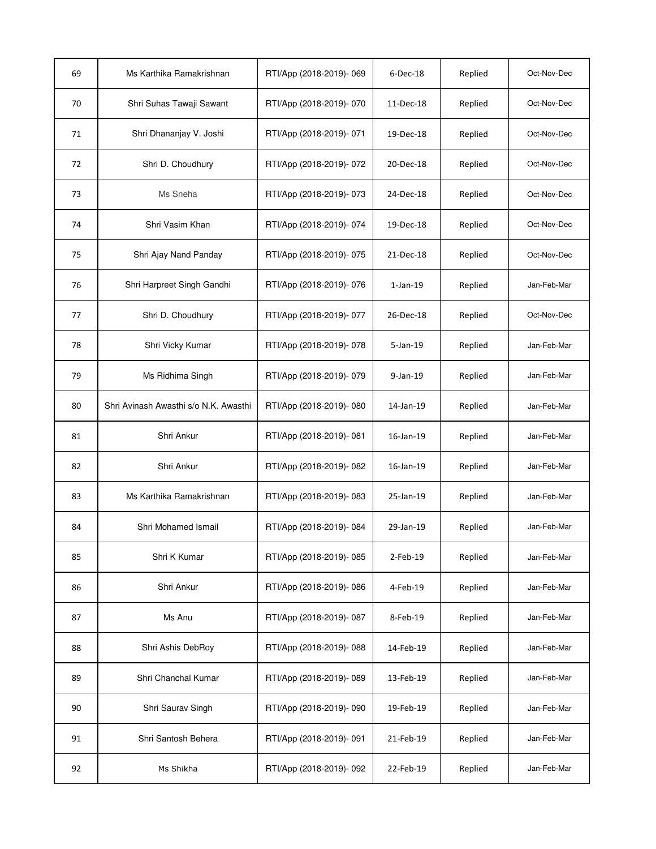| 69 | Ms Karthika Ramakrishnan              | RTI/App (2018-2019)-069 | $6$ -Dec-18    | Replied | Oct-Nov-Dec |
|----|---------------------------------------|-------------------------|----------------|---------|-------------|
| 70 | Shri Suhas Tawaji Sawant              | RTI/App (2018-2019)-070 | 11-Dec-18      | Replied | Oct-Nov-Dec |
| 71 | Shri Dhananjay V. Joshi               | RTI/App (2018-2019)-071 | 19-Dec-18      | Replied | Oct-Nov-Dec |
| 72 | Shri D. Choudhury                     | RTI/App (2018-2019)-072 | 20-Dec-18      | Replied | Oct-Nov-Dec |
| 73 | Ms Sneha                              | RTI/App (2018-2019)-073 | 24-Dec-18      | Replied | Oct-Nov-Dec |
| 74 | Shri Vasim Khan                       | RTI/App (2018-2019)-074 | 19-Dec-18      | Replied | Oct-Nov-Dec |
| 75 | Shri Ajay Nand Panday                 | RTI/App (2018-2019)-075 | 21-Dec-18      | Replied | Oct-Nov-Dec |
| 76 | Shri Harpreet Singh Gandhi            | RTI/App (2018-2019)-076 | $1$ -Jan- $19$ | Replied | Jan-Feb-Mar |
| 77 | Shri D. Choudhury                     | RTI/App (2018-2019)-077 | 26-Dec-18      | Replied | Oct-Nov-Dec |
| 78 | Shri Vicky Kumar                      | RTI/App (2018-2019)-078 | $5 - Jan-19$   | Replied | Jan-Feb-Mar |
| 79 | Ms Ridhima Singh                      | RTI/App (2018-2019)-079 | 9-Jan-19       | Replied | Jan-Feb-Mar |
| 80 | Shri Avinash Awasthi s/o N.K. Awasthi | RTI/App (2018-2019)-080 | 14-Jan-19      | Replied | Jan-Feb-Mar |
| 81 | Shri Ankur                            | RTI/App (2018-2019)-081 | 16-Jan-19      | Replied | Jan-Feb-Mar |
| 82 | Shri Ankur                            | RTI/App (2018-2019)-082 | 16-Jan-19      | Replied | Jan-Feb-Mar |
| 83 | Ms Karthika Ramakrishnan              | RTI/App (2018-2019)-083 | 25-Jan-19      | Replied | Jan-Feb-Mar |
| 84 | Shri Mohamed Ismail                   | RTI/App (2018-2019)-084 | 29-Jan-19      | Replied | Jan-Feb-Mar |
| 85 | Shri K Kumar                          | RTI/App (2018-2019)-085 | $2$ -Feb-19    | Replied | Jan-Feb-Mar |
| 86 | Shri Ankur                            | RTI/App (2018-2019)-086 | 4-Feb-19       | Replied | Jan-Feb-Mar |
| 87 | Ms Anu                                | RTI/App (2018-2019)-087 | 8-Feb-19       | Replied | Jan-Feb-Mar |
| 88 | Shri Ashis DebRoy                     | RTI/App (2018-2019)-088 | 14-Feb-19      | Replied | Jan-Feb-Mar |
| 89 | Shri Chanchal Kumar                   | RTI/App (2018-2019)-089 | 13-Feb-19      | Replied | Jan-Feb-Mar |
| 90 | Shri Saurav Singh                     | RTI/App (2018-2019)-090 | 19-Feb-19      | Replied | Jan-Feb-Mar |
| 91 | Shri Santosh Behera                   | RTI/App (2018-2019)-091 | 21-Feb-19      | Replied | Jan-Feb-Mar |
| 92 | Ms Shikha                             | RTI/App (2018-2019)-092 | 22-Feb-19      | Replied | Jan-Feb-Mar |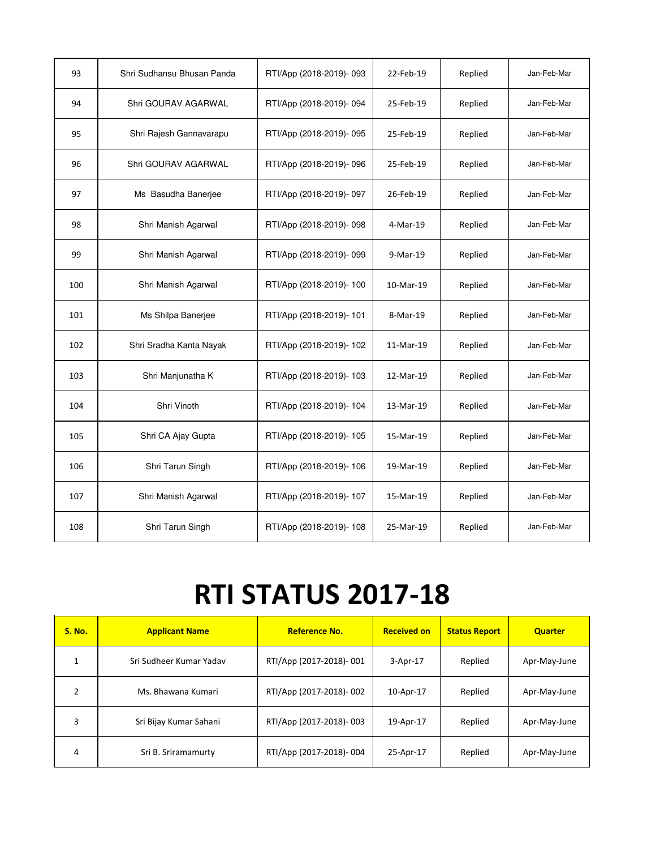| 93  | Shri Sudhansu Bhusan Panda | RTI/App (2018-2019)-093 | 22-Feb-19 | Replied | Jan-Feb-Mar |
|-----|----------------------------|-------------------------|-----------|---------|-------------|
| 94  | Shri GOURAV AGARWAL        | RTI/App (2018-2019)-094 | 25-Feb-19 | Replied | Jan-Feb-Mar |
| 95  | Shri Rajesh Gannavarapu    | RTI/App (2018-2019)-095 | 25-Feb-19 | Replied | Jan-Feb-Mar |
| 96  | Shri GOURAV AGARWAL        | RTI/App (2018-2019)-096 | 25-Feb-19 | Replied | Jan-Feb-Mar |
| 97  | Ms Basudha Banerjee        | RTI/App (2018-2019)-097 | 26-Feb-19 | Replied | Jan-Feb-Mar |
| 98  | Shri Manish Agarwal        | RTI/App (2018-2019)-098 | 4-Mar-19  | Replied | Jan-Feb-Mar |
| 99  | Shri Manish Agarwal        | RTI/App (2018-2019)-099 | 9-Mar-19  | Replied | Jan-Feb-Mar |
| 100 | Shri Manish Agarwal        | RTI/App (2018-2019)-100 | 10-Mar-19 | Replied | Jan-Feb-Mar |
| 101 | Ms Shilpa Banerjee         | RTI/App (2018-2019)-101 | 8-Mar-19  | Replied | Jan-Feb-Mar |
| 102 | Shri Sradha Kanta Nayak    | RTI/App (2018-2019)-102 | 11-Mar-19 | Replied | Jan-Feb-Mar |
| 103 | Shri Manjunatha K          | RTI/App (2018-2019)-103 | 12-Mar-19 | Replied | Jan-Feb-Mar |
| 104 | Shri Vinoth                | RTI/App (2018-2019)-104 | 13-Mar-19 | Replied | Jan-Feb-Mar |
| 105 | Shri CA Ajay Gupta         | RTI/App (2018-2019)-105 | 15-Mar-19 | Replied | Jan-Feb-Mar |
| 106 | Shri Tarun Singh           | RTI/App (2018-2019)-106 | 19-Mar-19 | Replied | Jan-Feb-Mar |
| 107 | Shri Manish Agarwal        | RTI/App (2018-2019)-107 | 15-Mar-19 | Replied | Jan-Feb-Mar |
| 108 | Shri Tarun Singh           | RTI/App (2018-2019)-108 | 25-Mar-19 | Replied | Jan-Feb-Mar |

## RTI STATUS 2017-18

| <b>S. No.</b> | <b>Applicant Name</b>   | <b>Reference No.</b>    | <b>Received on</b> | <b>Status Report</b> | <b>Quarter</b> |
|---------------|-------------------------|-------------------------|--------------------|----------------------|----------------|
|               | Sri Sudheer Kumar Yadav | RTI/App (2017-2018)-001 | $3-Apr-17$         | Replied              | Apr-May-June   |
| 2             | Ms. Bhawana Kumari      | RTI/App (2017-2018)-002 | 10-Apr-17          | Replied              | Apr-May-June   |
| 3             | Sri Bijay Kumar Sahani  | RTI/App (2017-2018)-003 | 19-Apr-17          | Replied              | Apr-May-June   |
| 4             | Sri B. Sriramamurty     | RTI/App (2017-2018)-004 | 25-Apr-17          | Replied              | Apr-May-June   |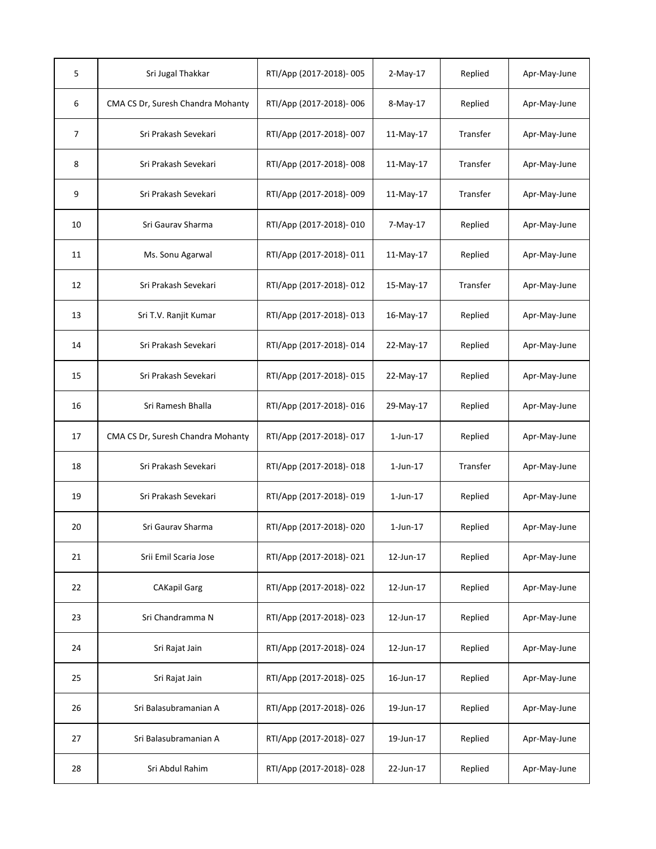| 5  | Sri Jugal Thakkar                 | RTI/App (2017-2018)-005 | $2-May-17$     | Replied  | Apr-May-June |
|----|-----------------------------------|-------------------------|----------------|----------|--------------|
| 6  | CMA CS Dr, Suresh Chandra Mohanty | RTI/App (2017-2018)-006 | 8-May-17       | Replied  | Apr-May-June |
| 7  | Sri Prakash Sevekari              | RTI/App (2017-2018)-007 | 11-May-17      | Transfer | Apr-May-June |
| 8  | Sri Prakash Sevekari              | RTI/App (2017-2018)-008 | 11-May-17      | Transfer | Apr-May-June |
| 9  | Sri Prakash Sevekari              | RTI/App (2017-2018)-009 | $11-May-17$    | Transfer | Apr-May-June |
| 10 | Sri Gaurav Sharma                 | RTI/App (2017-2018)-010 | 7-May-17       | Replied  | Apr-May-June |
| 11 | Ms. Sonu Agarwal                  | RTI/App (2017-2018)-011 | 11-May-17      | Replied  | Apr-May-June |
| 12 | Sri Prakash Sevekari              | RTI/App (2017-2018)-012 | 15-May-17      | Transfer | Apr-May-June |
| 13 | Sri T.V. Ranjit Kumar             | RTI/App (2017-2018)-013 | 16-May-17      | Replied  | Apr-May-June |
| 14 | Sri Prakash Sevekari              | RTI/App (2017-2018)-014 | 22-May-17      | Replied  | Apr-May-June |
| 15 | Sri Prakash Sevekari              | RTI/App (2017-2018)-015 | 22-May-17      | Replied  | Apr-May-June |
| 16 | Sri Ramesh Bhalla                 | RTI/App (2017-2018)-016 | 29-May-17      | Replied  | Apr-May-June |
| 17 | CMA CS Dr, Suresh Chandra Mohanty | RTI/App (2017-2018)-017 | $1$ -Jun- $17$ | Replied  | Apr-May-June |
| 18 | Sri Prakash Sevekari              | RTI/App (2017-2018)-018 | $1$ -Jun- $17$ | Transfer | Apr-May-June |
| 19 | Sri Prakash Sevekari              | RTI/App (2017-2018)-019 | $1$ -Jun- $17$ | Replied  | Apr-May-June |
| 20 | Sri Gaurav Sharma                 | RTI/App (2017-2018)-020 | $1$ -Jun- $17$ | Replied  | Apr-May-June |
| 21 | Srii Emil Scaria Jose             | RTI/App (2017-2018)-021 | 12-Jun-17      | Replied  | Apr-May-June |
| 22 | <b>CAKapil Garg</b>               | RTI/App (2017-2018)-022 | 12-Jun-17      | Replied  | Apr-May-June |
| 23 | Sri Chandramma N                  | RTI/App (2017-2018)-023 | 12-Jun-17      | Replied  | Apr-May-June |
| 24 | Sri Rajat Jain                    | RTI/App (2017-2018)-024 | 12-Jun-17      | Replied  | Apr-May-June |
| 25 | Sri Rajat Jain                    | RTI/App (2017-2018)-025 | 16-Jun-17      | Replied  | Apr-May-June |
| 26 | Sri Balasubramanian A             | RTI/App (2017-2018)-026 | 19-Jun-17      | Replied  | Apr-May-June |
| 27 | Sri Balasubramanian A             | RTI/App (2017-2018)-027 | 19-Jun-17      | Replied  | Apr-May-June |
| 28 | Sri Abdul Rahim                   | RTI/App (2017-2018)-028 | 22-Jun-17      | Replied  | Apr-May-June |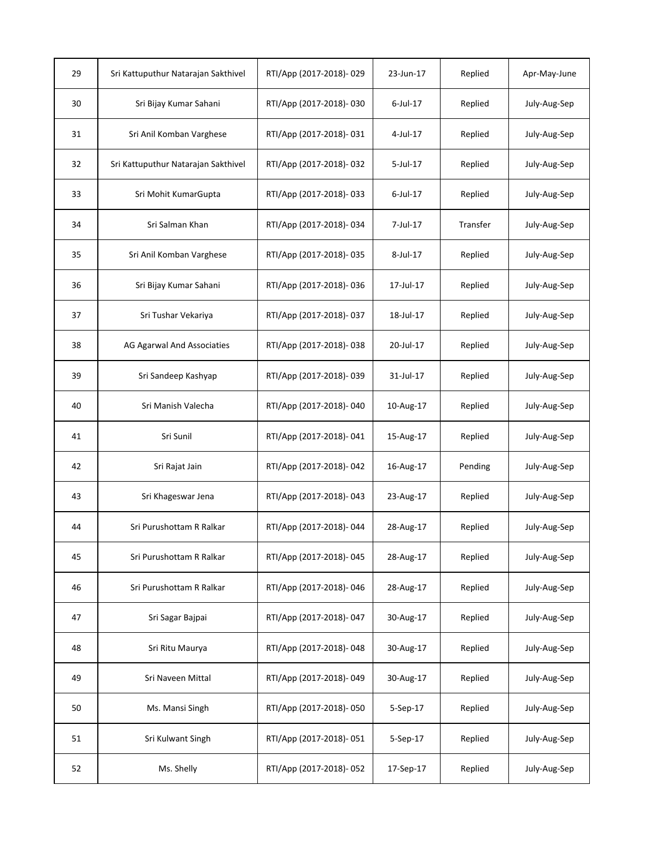| 29 | Sri Kattuputhur Natarajan Sakthivel | RTI/App (2017-2018)-029 | 23-Jun-17   | Replied  | Apr-May-June |
|----|-------------------------------------|-------------------------|-------------|----------|--------------|
| 30 | Sri Bijay Kumar Sahani              | RTI/App (2017-2018)-030 | 6-Jul-17    | Replied  | July-Aug-Sep |
| 31 | Sri Anil Komban Varghese            | RTI/App (2017-2018)-031 | 4-Jul-17    | Replied  | July-Aug-Sep |
| 32 | Sri Kattuputhur Natarajan Sakthivel | RTI/App (2017-2018)-032 | $5$ -Jul-17 | Replied  | July-Aug-Sep |
| 33 | Sri Mohit KumarGupta                | RTI/App (2017-2018)-033 | $6$ -Jul-17 | Replied  | July-Aug-Sep |
| 34 | Sri Salman Khan                     | RTI/App (2017-2018)-034 | 7-Jul-17    | Transfer | July-Aug-Sep |
| 35 | Sri Anil Komban Varghese            | RTI/App (2017-2018)-035 | 8-Jul-17    | Replied  | July-Aug-Sep |
| 36 | Sri Bijay Kumar Sahani              | RTI/App (2017-2018)-036 | 17-Jul-17   | Replied  | July-Aug-Sep |
| 37 | Sri Tushar Vekariya                 | RTI/App (2017-2018)-037 | 18-Jul-17   | Replied  | July-Aug-Sep |
| 38 | AG Agarwal And Associaties          | RTI/App (2017-2018)-038 | 20-Jul-17   | Replied  | July-Aug-Sep |
| 39 | Sri Sandeep Kashyap                 | RTI/App (2017-2018)-039 | 31-Jul-17   | Replied  | July-Aug-Sep |
| 40 | Sri Manish Valecha                  | RTI/App (2017-2018)-040 | 10-Aug-17   | Replied  | July-Aug-Sep |
| 41 | Sri Sunil                           | RTI/App (2017-2018)-041 | 15-Aug-17   | Replied  | July-Aug-Sep |
| 42 | Sri Rajat Jain                      | RTI/App (2017-2018)-042 | 16-Aug-17   | Pending  | July-Aug-Sep |
| 43 | Sri Khageswar Jena                  | RTI/App (2017-2018)-043 | 23-Aug-17   | Replied  | July-Aug-Sep |
| 44 | Sri Purushottam R Ralkar            | RTI/App (2017-2018)-044 | 28-Aug-17   | Replied  | July-Aug-Sep |
| 45 | Sri Purushottam R Ralkar            | RTI/App (2017-2018)-045 | 28-Aug-17   | Replied  | July-Aug-Sep |
| 46 | Sri Purushottam R Ralkar            | RTI/App (2017-2018)-046 | 28-Aug-17   | Replied  | July-Aug-Sep |
| 47 | Sri Sagar Bajpai                    | RTI/App (2017-2018)-047 | 30-Aug-17   | Replied  | July-Aug-Sep |
| 48 | Sri Ritu Maurya                     | RTI/App (2017-2018)-048 | 30-Aug-17   | Replied  | July-Aug-Sep |
| 49 | Sri Naveen Mittal                   | RTI/App (2017-2018)-049 | 30-Aug-17   | Replied  | July-Aug-Sep |
| 50 | Ms. Mansi Singh                     | RTI/App (2017-2018)-050 | 5-Sep-17    | Replied  | July-Aug-Sep |
| 51 | Sri Kulwant Singh                   | RTI/App (2017-2018)-051 | 5-Sep-17    | Replied  | July-Aug-Sep |
| 52 | Ms. Shelly                          | RTI/App (2017-2018)-052 | 17-Sep-17   | Replied  | July-Aug-Sep |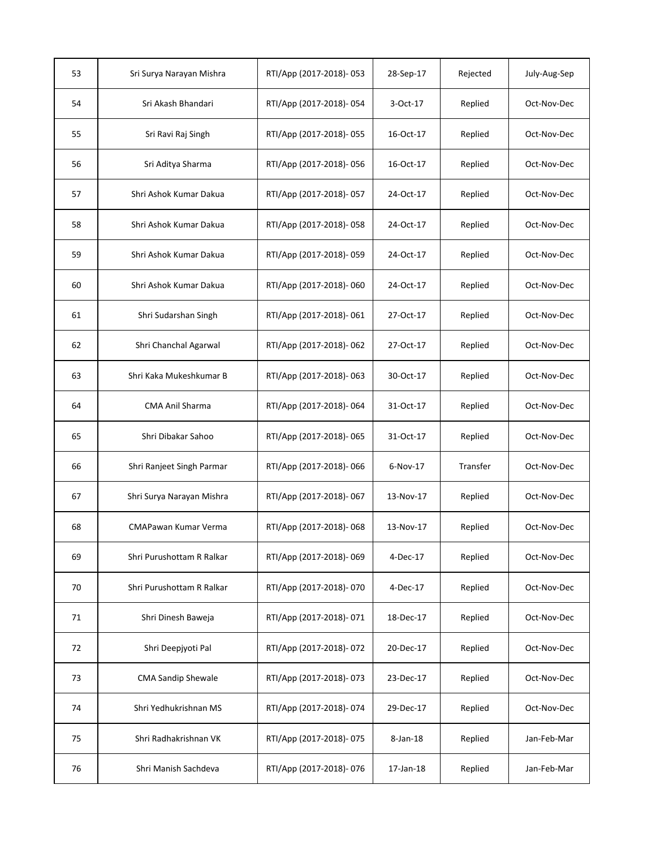| 53 | Sri Surya Narayan Mishra  | RTI/App (2017-2018)-053 | 28-Sep-17   | Rejected | July-Aug-Sep |
|----|---------------------------|-------------------------|-------------|----------|--------------|
| 54 | Sri Akash Bhandari        | RTI/App (2017-2018)-054 | 3-Oct-17    | Replied  | Oct-Nov-Dec  |
| 55 | Sri Ravi Raj Singh        | RTI/App (2017-2018)-055 | 16-Oct-17   | Replied  | Oct-Nov-Dec  |
| 56 | Sri Aditya Sharma         | RTI/App (2017-2018)-056 | 16-Oct-17   | Replied  | Oct-Nov-Dec  |
| 57 | Shri Ashok Kumar Dakua    | RTI/App (2017-2018)-057 | 24-Oct-17   | Replied  | Oct-Nov-Dec  |
| 58 | Shri Ashok Kumar Dakua    | RTI/App (2017-2018)-058 | 24-Oct-17   | Replied  | Oct-Nov-Dec  |
| 59 | Shri Ashok Kumar Dakua    | RTI/App (2017-2018)-059 | 24-Oct-17   | Replied  | Oct-Nov-Dec  |
| 60 | Shri Ashok Kumar Dakua    | RTI/App (2017-2018)-060 | 24-Oct-17   | Replied  | Oct-Nov-Dec  |
| 61 | Shri Sudarshan Singh      | RTI/App (2017-2018)-061 | 27-Oct-17   | Replied  | Oct-Nov-Dec  |
| 62 | Shri Chanchal Agarwal     | RTI/App (2017-2018)-062 | 27-Oct-17   | Replied  | Oct-Nov-Dec  |
| 63 | Shri Kaka Mukeshkumar B   | RTI/App (2017-2018)-063 | 30-Oct-17   | Replied  | Oct-Nov-Dec  |
| 64 | CMA Anil Sharma           | RTI/App (2017-2018)-064 | 31-Oct-17   | Replied  | Oct-Nov-Dec  |
| 65 | Shri Dibakar Sahoo        | RTI/App (2017-2018)-065 | 31-Oct-17   | Replied  | Oct-Nov-Dec  |
| 66 | Shri Ranjeet Singh Parmar | RTI/App (2017-2018)-066 | 6-Nov-17    | Transfer | Oct-Nov-Dec  |
| 67 | Shri Surya Narayan Mishra | RTI/App (2017-2018)-067 | 13-Nov-17   | Replied  | Oct-Nov-Dec  |
| 68 | CMAPawan Kumar Verma      | RTI/App (2017-2018)-068 | 13-Nov-17   | Replied  | Oct-Nov-Dec  |
| 69 | Shri Purushottam R Ralkar | RTI/App (2017-2018)-069 | 4-Dec-17    | Replied  | Oct-Nov-Dec  |
| 70 | Shri Purushottam R Ralkar | RTI/App (2017-2018)-070 | 4-Dec-17    | Replied  | Oct-Nov-Dec  |
| 71 | Shri Dinesh Baweja        | RTI/App (2017-2018)-071 | 18-Dec-17   | Replied  | Oct-Nov-Dec  |
| 72 | Shri Deepjyoti Pal        | RTI/App (2017-2018)-072 | 20-Dec-17   | Replied  | Oct-Nov-Dec  |
| 73 | <b>CMA Sandip Shewale</b> | RTI/App (2017-2018)-073 | 23-Dec-17   | Replied  | Oct-Nov-Dec  |
| 74 | Shri Yedhukrishnan MS     | RTI/App (2017-2018)-074 | 29-Dec-17   | Replied  | Oct-Nov-Dec  |
| 75 | Shri Radhakrishnan VK     | RTI/App (2017-2018)-075 | $8$ -Jan-18 | Replied  | Jan-Feb-Mar  |
| 76 | Shri Manish Sachdeva      | RTI/App (2017-2018)-076 | 17-Jan-18   | Replied  | Jan-Feb-Mar  |